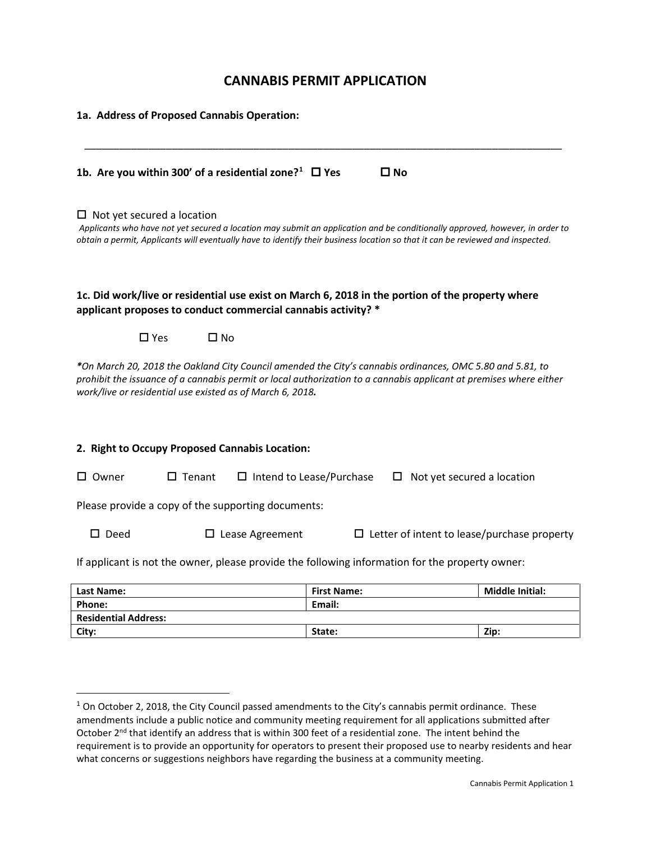# **CANNABIS PERMIT APPLICATION**

| 1a. Address of Proposed Cannabis Operation:                                                                                                                                                                                                                                                         |                                                                    |                        |
|-----------------------------------------------------------------------------------------------------------------------------------------------------------------------------------------------------------------------------------------------------------------------------------------------------|--------------------------------------------------------------------|------------------------|
| 1b. Are you within 300' of a residential zone? <sup>1</sup> $\Box$ Yes                                                                                                                                                                                                                              | $\square$ No                                                       |                        |
| $\Box$ Not yet secured a location<br>Applicants who have not yet secured a location may submit an application and be conditionally approved, however, in order to<br>obtain a permit, Applicants will eventually have to identify their business location so that it can be reviewed and inspected. |                                                                    |                        |
| 1c. Did work/live or residential use exist on March 6, 2018 in the portion of the property where<br>applicant proposes to conduct commercial cannabis activity? *                                                                                                                                   |                                                                    |                        |
| $\square$ Yes<br>$\square$ No                                                                                                                                                                                                                                                                       |                                                                    |                        |
| *On March 20, 2018 the Oakland City Council amended the City's cannabis ordinances, OMC 5.80 and 5.81, to<br>prohibit the issuance of a cannabis permit or local authorization to a cannabis applicant at premises where either<br>work/live or residential use existed as of March 6, 2018.        |                                                                    |                        |
| 2. Right to Occupy Proposed Cannabis Location:                                                                                                                                                                                                                                                      |                                                                    |                        |
| $\square$ Owner<br>$\Box$ Tenant                                                                                                                                                                                                                                                                    | $\Box$ Intend to Lease/Purchase<br>Not yet secured a location<br>ப |                        |
| Please provide a copy of the supporting documents:                                                                                                                                                                                                                                                  |                                                                    |                        |
| $\square$ Deed<br>$\Box$ Lease Agreement<br>$\Box$ Letter of intent to lease/purchase property                                                                                                                                                                                                      |                                                                    |                        |
| If applicant is not the owner, please provide the following information for the property owner:                                                                                                                                                                                                     |                                                                    |                        |
| Last Name:                                                                                                                                                                                                                                                                                          | <b>First Name:</b>                                                 | <b>Middle Initial:</b> |
| Phone:                                                                                                                                                                                                                                                                                              | Email:                                                             |                        |
| <b>Residential Address:</b>                                                                                                                                                                                                                                                                         |                                                                    |                        |

**City: State: Zip:**

<span id="page-0-0"></span> $1$  On October 2, 2018, the City Council passed amendments to the City's cannabis permit ordinance. These amendments include a public notice and community meeting requirement for all applications submitted after October 2<sup>nd</sup> that identify an address that is within 300 feet of a residential zone. The intent behind the requirement is to provide an opportunity for operators to present their proposed use to nearby residents and hear what concerns or suggestions neighbors have regarding the business at a community meeting.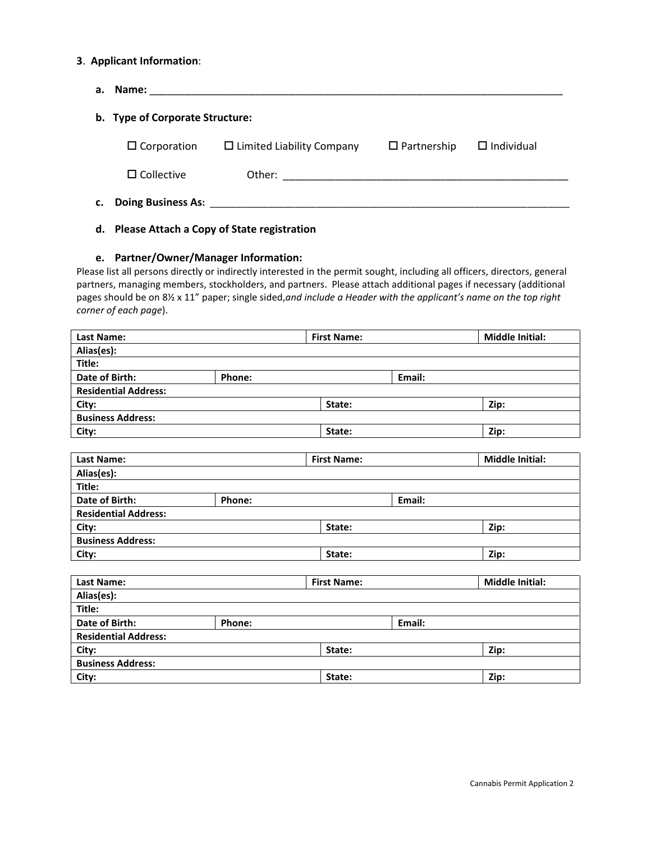#### **3**. **Applicant Information**:

| Name:<br>а.                     |                                  |                    |                   |
|---------------------------------|----------------------------------|--------------------|-------------------|
| b. Type of Corporate Structure: |                                  |                    |                   |
| $\Box$ Corporation              | $\Box$ Limited Liability Company | $\Box$ Partnership | $\Box$ Individual |
| $\Box$ Collective               |                                  |                    |                   |
| <b>Doing Business As:</b><br>c. |                                  |                    |                   |

## **d. Please Attach a Copy of State registration**

#### **e. Partner/Owner/Manager Information:**

Please list all persons directly or indirectly interested in the permit sought, including all officers, directors, general partners, managing members, stockholders, and partners. Please attach additional pages if necessary (additional pages should be on 8½ x 11" paper; single sided,*and include a Header with the applicant's name on the top right corner of each page*).

| <b>Last Name:</b>           |        | <b>First Name:</b> |                    |        | <b>Middle Initial:</b> |
|-----------------------------|--------|--------------------|--------------------|--------|------------------------|
| Alias(es):                  |        |                    |                    |        |                        |
| Title:                      |        |                    |                    |        |                        |
| Date of Birth:              | Phone: |                    |                    | Email: |                        |
| <b>Residential Address:</b> |        |                    |                    |        |                        |
| City:                       |        |                    | State:             |        | Zip:                   |
| <b>Business Address:</b>    |        |                    |                    |        |                        |
| City:                       |        |                    | State:             |        | Zip:                   |
|                             |        |                    |                    |        |                        |
| <b>Last Name:</b>           |        |                    | <b>First Name:</b> |        | <b>Middle Initial:</b> |
| Alias(es):                  |        |                    |                    |        |                        |
| Title:                      |        |                    |                    |        |                        |
| Date of Birth:              | Phone: |                    |                    | Email: |                        |
| <b>Residential Address:</b> |        |                    |                    |        |                        |
| City:                       | State: |                    |                    | Zip:   |                        |
| <b>Business Address:</b>    |        |                    |                    |        |                        |
| City:                       |        |                    | State:             |        | Zip:                   |
|                             |        |                    |                    |        |                        |
| <b>Last Name:</b>           |        |                    | <b>First Name:</b> |        | <b>Middle Initial:</b> |
| Alias(es):                  |        |                    |                    |        |                        |
| Title:                      |        |                    |                    |        |                        |
| Date of Birth:              | Phone: |                    | Email:             |        |                        |
| <b>Residential Address:</b> |        |                    |                    |        |                        |
| City:                       | State: |                    |                    |        | Zip:                   |
| <b>Business Address:</b>    |        |                    |                    |        |                        |
| City:                       | State: |                    |                    | Zip:   |                        |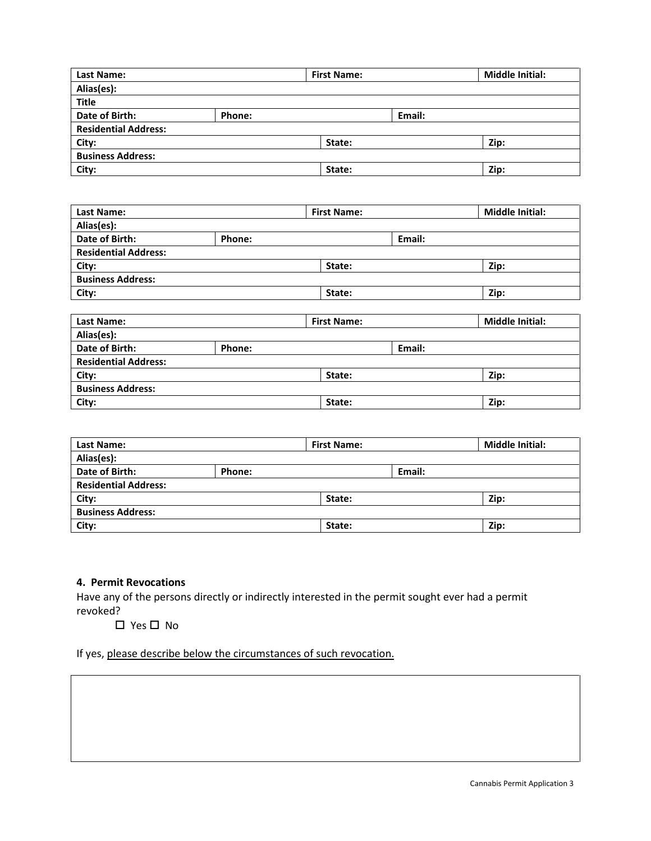| <b>Last Name:</b>           |        | <b>First Name:</b> |        | <b>Middle Initial:</b> |
|-----------------------------|--------|--------------------|--------|------------------------|
| Alias(es):                  |        |                    |        |                        |
| <b>Title</b>                |        |                    |        |                        |
| Date of Birth:              | Phone: |                    | Email: |                        |
| <b>Residential Address:</b> |        |                    |        |                        |
| City:                       |        | State:             |        | Zip:                   |
| <b>Business Address:</b>    |        |                    |        |                        |
| City:                       |        | State:             |        | Zip:                   |

| <b>Last Name:</b>           |        | <b>First Name:</b> |        | <b>Middle Initial:</b> |
|-----------------------------|--------|--------------------|--------|------------------------|
| Alias(es):                  |        |                    |        |                        |
| Date of Birth:              | Phone: |                    | Email: |                        |
| <b>Residential Address:</b> |        |                    |        |                        |
| City:                       |        | State:             |        | Zip:                   |
| <b>Business Address:</b>    |        |                    |        |                        |
| City:                       |        | State:             |        | Zip:                   |
|                             |        |                    |        |                        |
| Last Name:                  |        | <b>First Name:</b> |        | <b>Middle Initial:</b> |
| Alias(es):                  |        |                    |        |                        |
| Date of Birth:              | Phone: |                    | Email: |                        |
| <b>Residential Address:</b> |        |                    |        |                        |
| City:                       |        | State:             |        | Zip:                   |
| <b>Business Address:</b>    |        |                    |        |                        |
| City:                       |        | State:             |        | Zip:                   |

| <b>Last Name:</b>           |        | <b>First Name:</b> |        | <b>Middle Initial:</b> |
|-----------------------------|--------|--------------------|--------|------------------------|
| Alias(es):                  |        |                    |        |                        |
| Date of Birth:              | Phone: |                    | Email: |                        |
| <b>Residential Address:</b> |        |                    |        |                        |
| City:                       |        | State:             |        | Zip:                   |
| <b>Business Address:</b>    |        |                    |        |                        |
| City:                       |        | State:             |        | Zip:                   |

## **4. Permit Revocations**

Have any of the persons directly or indirectly interested in the permit sought ever had a permit revoked?

 $\Box$  Yes  $\Box$  No

If yes, please describe below the circumstances of such revocation.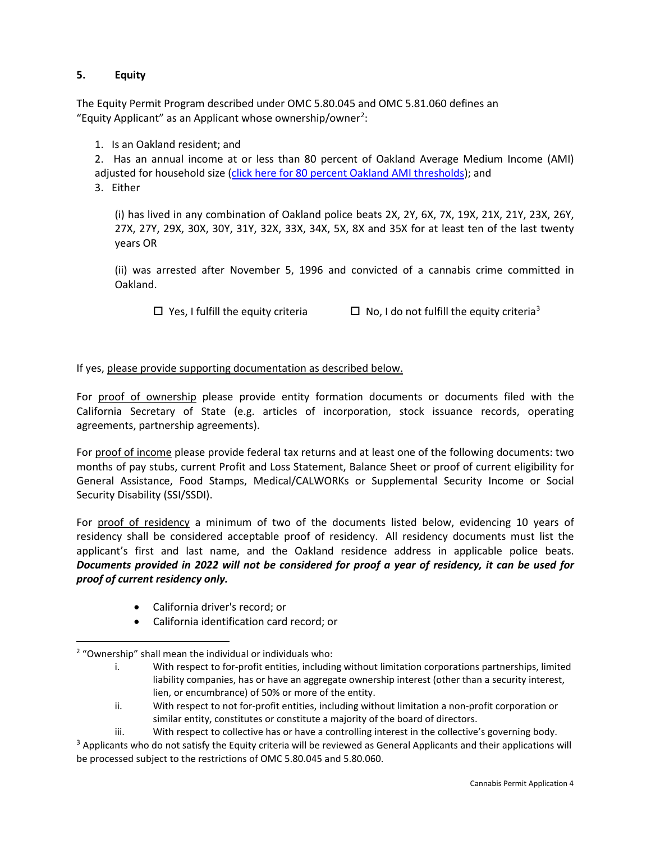## **5. Equity**

The Equity Permit Program described under OMC 5.80.045 and OMC 5.81.060 defines an "Equity Applicant" as an Applicant whose ownership/owner<sup>2</sup>:

1. Is an Oakland resident; and

2. Has an annual income at or less than 80 percent of Oakland Average Medium Income (AMI) adjusted for household size [\(click here for 80 percent Oakland AMI thresholds\)](http://www2.oaklandnet.com/government/o/CityAdministration/OAK063331); and 3.Either

(i) has lived in any combination of Oakland police beats 2X, 2Y, 6X, 7X, 19X, 21X, 21Y, 23X, 26Y, 27X, 27Y, 29X, 30X, 30Y, 31Y, 32X, 33X, 34X, 5X, 8X and 35X for at least ten of the last twenty years OR

(ii) was arrested after November 5, 1996 and convicted of a cannabis crime committed in Oakland.

 $\Box$  Yes, I fulfill the equity criteria  $\Box$  No, I do not fulfill the equity criteria<sup>[3](#page-3-1)</sup>

## If yes, please provide supporting documentation as described below.

For proof of ownership please provide entity formation documents or documents filed with the California Secretary of State (e.g. articles of incorporation, stock issuance records, operating agreements, partnership agreements).

For proof of income please provide federal tax returns and at least one of the following documents: two months of pay stubs, current Profit and Loss Statement, Balance Sheet or proof of current eligibility for General Assistance, Food Stamps, Medical/CALWORKs or Supplemental Security Income or Social Security Disability (SSI/SSDI).

For proof of residency a minimum of two of the documents listed below, evidencing 10 years of residency shall be considered acceptable proof of residency. All residency documents must list the applicant's first and last name, and the Oakland residence address in applicable police beats. *Documents provided in 2022 will not be considered for proof a year of residency, it can be used for proof of current residency only.*

- California driver's record; or
- California identification card record; or

<span id="page-3-0"></span><sup>2</sup> "Ownership" shall mean the individual or individuals who:

i. With respect to for-profit entities, including without limitation corporations partnerships, limited liability companies, has or have an aggregate ownership interest (other than a security interest, lien, or encumbrance) of 50% or more of the entity.

ii. With respect to not for-profit entities, including without limitation a non-profit corporation or similar entity, constitutes or constitute a majority of the board of directors.

iii. With respect to collective has or have a controlling interest in the collective's governing body.

<span id="page-3-1"></span> $3$  Applicants who do not satisfy the Equity criteria will be reviewed as General Applicants and their applications will be processed subject to the restrictions of OMC 5.80.045 and 5.80.060.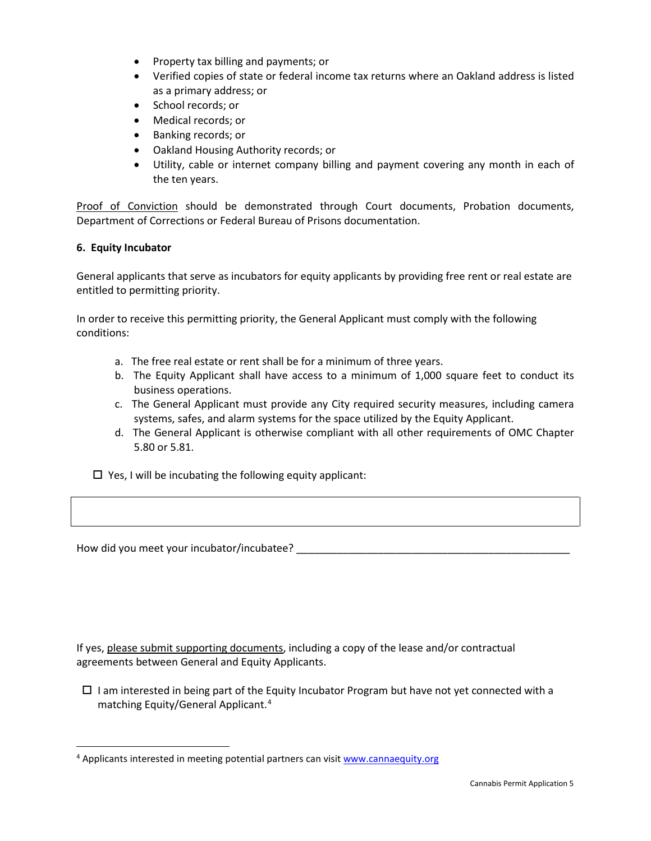- Property tax billing and payments; or
- Verified copies of state or federal income tax returns where an Oakland address is listed as a primary address; or
- School records; or
- Medical records; or
- Banking records; or
- Oakland Housing Authority records; or
- Utility, cable or internet company billing and payment covering any month in each of the ten years.

Proof of Conviction should be demonstrated through Court documents, Probation documents, Department of Corrections or Federal Bureau of Prisons documentation.

### **6. Equity Incubator**

General applicants that serve as incubators for equity applicants by providing free rent or real estate are entitled to permitting priority.

In order to receive this permitting priority, the General Applicant must comply with the following conditions:

- a. The free real estate or rent shall be for a minimum of three years.
- b. The Equity Applicant shall have access to a minimum of 1,000 square feet to conduct its business operations.
- c. The General Applicant must provide any City required security measures, including camera systems, safes, and alarm systems for the space utilized by the Equity Applicant.
- d. The General Applicant is otherwise compliant with all other requirements of OMC Chapter 5.80 or 5.81.

 $\Box$  Yes, I will be incubating the following equity applicant:

How did you meet your incubator/incubatee? \_\_\_\_\_\_\_\_\_\_\_\_\_\_\_\_\_\_\_\_\_\_\_\_\_\_\_\_\_\_\_\_\_\_\_\_\_\_\_\_\_\_\_\_\_\_\_

If yes, please submit supporting documents, including a copy of the lease and/or contractual agreements between General and Equity Applicants.

 $\Box$  I am interested in being part of the Equity Incubator Program but have not yet connected with a matching Equity/General Applicant.[4](#page-4-0)

<span id="page-4-0"></span><sup>&</sup>lt;sup>4</sup> Applicants interested in meeting potential partners can visit [www.cannaequity.org](http://www.cannaequity.org/)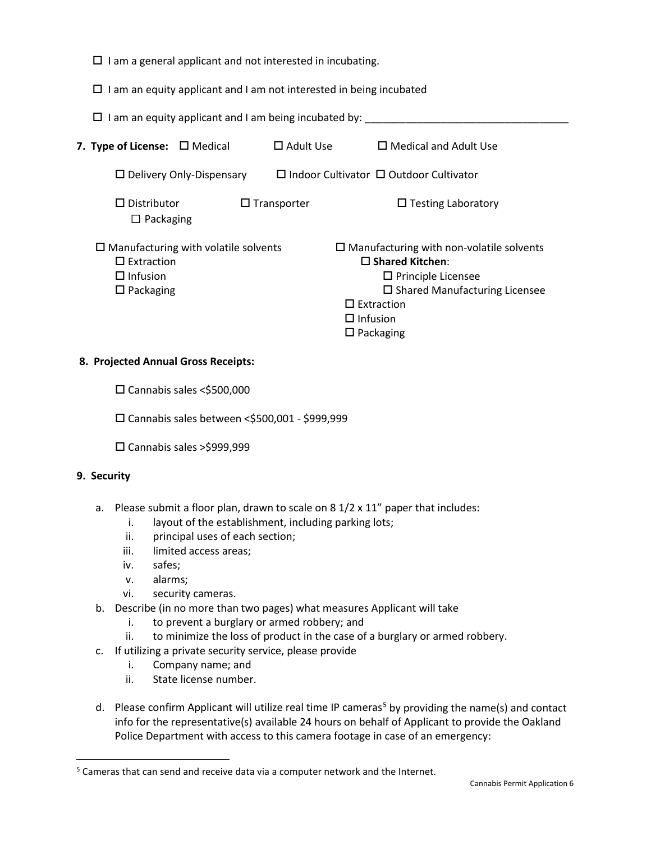- $\Box$  I am a general applicant and not interested in incubating.
- $\Box$  I am an equity applicant and I am not interested in being incubated

| $\Box$ I am an equity applicant and I am being incubated by:                                               |                    |                                                                                                                                                                                                 |
|------------------------------------------------------------------------------------------------------------|--------------------|-------------------------------------------------------------------------------------------------------------------------------------------------------------------------------------------------|
| <b>7. Type of License:</b> $\Box$ Medical                                                                  | $\Box$ Adult Use   | $\Box$ Medical and Adult Use                                                                                                                                                                    |
| $\Box$ Delivery Only-Dispensary                                                                            |                    | $\Box$ Indoor Cultivator $\Box$ Outdoor Cultivator                                                                                                                                              |
| $\Box$ Distributor<br>$\Box$ Packaging                                                                     | $\Box$ Transporter | $\Box$ Testing Laboratory                                                                                                                                                                       |
| $\square$ Manufacturing with volatile solvents<br>$\Box$ Extraction<br>$\Box$ Infusion<br>$\Box$ Packaging |                    | $\square$ Manufacturing with non-volatile solvents<br>$\Box$ Shared Kitchen:<br>$\Box$ Principle Licensee<br>$\square$ Shared Manufacturing Licensee<br>$\Box$ Extraction<br>$\square$ Infusion |

 $\square$  Packaging

### **8. Projected Annual Gross Receipts:**

- □ Cannabis sales <\$500,000
- □ Cannabis sales between < \$500,001 \$999,999
- Cannabis sales >\$999,999

## **9. Security**

- a. Please submit a floor plan, drawn to scale on 8 1/2 x 11" paper that includes:
	- i. layout of the establishment, including parking lots;
	- ii. principal uses of each section;
	- iii. limited access areas;
	- iv. safes;
	- v. alarms;
	- vi. security cameras.
- b. Describe (in no more than two pages) what measures Applicant will take
	- i. to prevent a burglary or armed robbery; and
	- ii. to minimize the loss of product in the case of a burglary or armed robbery.
- c. If utilizing a private security service, please provide
	- i. Company name; and
	- ii. State license number.
- d. Please confirm Applicant will utilize real time IP cameras<sup>[5](#page-5-0)</sup> by providing the name(s) and contact info for the representative(s) available 24 hours on behalf of Applicant to provide the Oakland Police Department with access to this camera footage in case of an emergency:

<span id="page-5-0"></span><sup>&</sup>lt;sup>5</sup> Cameras that can send and receive data via a computer network and the Internet.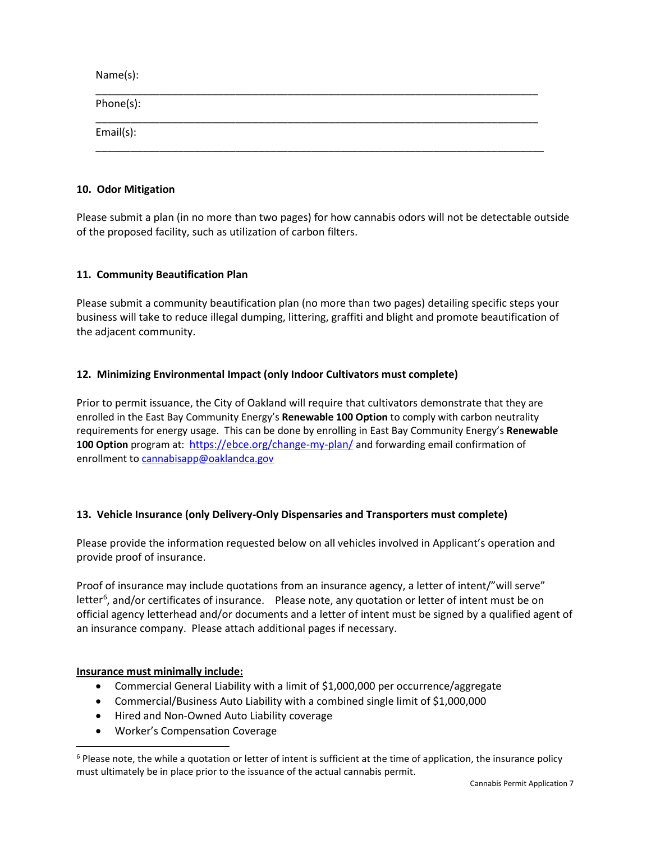Name(s): \_\_\_\_\_\_\_\_\_\_\_\_\_\_\_\_\_\_\_\_\_\_\_\_\_\_\_\_\_\_\_\_\_\_\_\_\_\_\_\_\_\_\_\_\_\_\_\_\_\_\_\_\_\_\_\_\_\_\_\_\_\_\_\_\_\_\_\_\_\_\_\_\_\_\_\_ Phone(s): \_\_\_\_\_\_\_\_\_\_\_\_\_\_\_\_\_\_\_\_\_\_\_\_\_\_\_\_\_\_\_\_\_\_\_\_\_\_\_\_\_\_\_\_\_\_\_\_\_\_\_\_\_\_\_\_\_\_\_\_\_\_\_\_\_\_\_\_\_\_\_\_\_\_\_\_ Email(s): \_\_\_\_\_\_\_\_\_\_\_\_\_\_\_\_\_\_\_\_\_\_\_\_\_\_\_\_\_\_\_\_\_\_\_\_\_\_\_\_\_\_\_\_\_\_\_\_\_\_\_\_\_\_\_\_\_\_\_\_\_\_\_\_\_\_\_\_\_\_\_\_\_\_\_\_\_

#### **10. Odor Mitigation**

Please submit a plan (in no more than two pages) for how cannabis odors will not be detectable outside of the proposed facility, such as utilization of carbon filters.

## **11. Community Beautification Plan**

Please submit a community beautification plan (no more than two pages) detailing specific steps your business will take to reduce illegal dumping, littering, graffiti and blight and promote beautification of the adjacent community.

## **12. Minimizing Environmental Impact (only Indoor Cultivators must complete)**

Prior to permit issuance, the City of Oakland will require that cultivators demonstrate that they are enrolled in the East Bay Community Energy's **Renewable 100 Option** to comply with carbon neutrality requirements for energy usage. This can be done by enrolling in East Bay Community Energy's **Renewable 100 Option** program at: <https://ebce.org/change-my-plan/> and forwarding email confirmation of enrollment to [cannabisapp@oaklandca.gov](mailto:cannabisapp@oaklandca.gov)

## **13. Vehicle Insurance (only Delivery-Only Dispensaries and Transporters must complete)**

Please provide the information requested below on all vehicles involved in Applicant's operation and provide proof of insurance.

Proof of insurance may include quotations from an insurance agency, a letter of intent/"will serve" letter<sup>[6](#page-6-0)</sup>, and/or certificates of insurance. Please note, any quotation or letter of intent must be on official agency letterhead and/or documents and a letter of intent must be signed by a qualified agent of an insurance company. Please attach additional pages if necessary.

#### **Insurance must minimally include:**

- Commercial General Liability with a limit of \$1,000,000 per occurrence/aggregate
- Commercial/Business Auto Liability with a combined single limit of \$1,000,000
- Hired and Non-Owned Auto Liability coverage
- Worker's Compensation Coverage

<span id="page-6-0"></span> $6$  Please note, the while a quotation or letter of intent is sufficient at the time of application, the insurance policy must ultimately be in place prior to the issuance of the actual cannabis permit.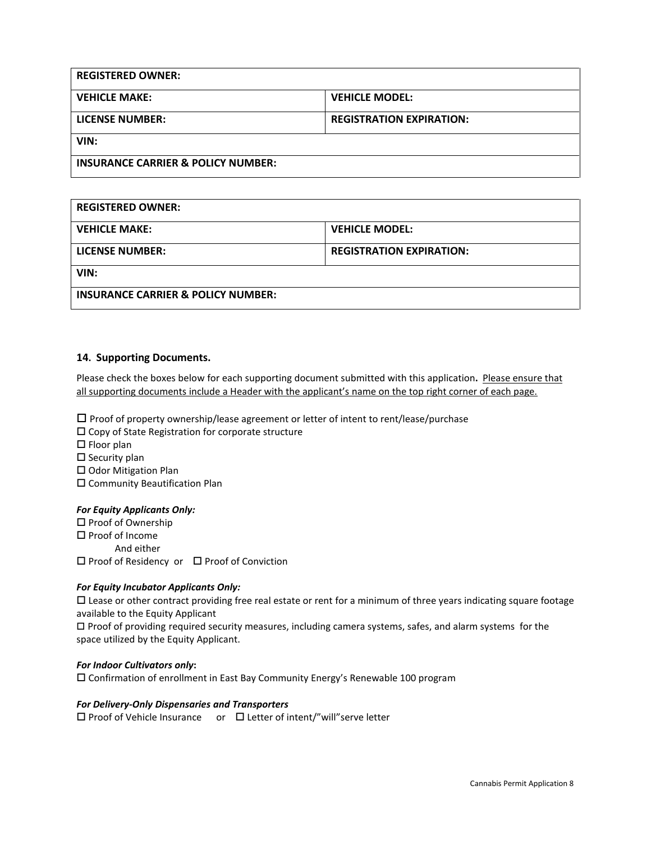| <b>REGISTERED OWNER:</b>                      |                                 |
|-----------------------------------------------|---------------------------------|
| <b>VEHICLE MAKE:</b>                          | <b>VEHICLE MODEL:</b>           |
| LICENSE NUMBER:                               | <b>REGISTRATION EXPIRATION:</b> |
| VIN:                                          |                                 |
| <b>INSURANCE CARRIER &amp; POLICY NUMBER:</b> |                                 |

| <b>REGISTERED OWNER:</b>                      |                                 |
|-----------------------------------------------|---------------------------------|
| <b>VEHICLE MAKE:</b>                          | <b>VEHICLE MODEL:</b>           |
| LICENSE NUMBER:                               | <b>REGISTRATION EXPIRATION:</b> |
| VIN:                                          |                                 |
| <b>INSURANCE CARRIER &amp; POLICY NUMBER:</b> |                                 |

#### **14. Supporting Documents.**

Please check the boxes below for each supporting document submitted with this application**.** Please ensure that all supporting documents include a Header with the applicant's name on the top right corner of each page.

 $\square$  Proof of property ownership/lease agreement or letter of intent to rent/lease/purchase

 $\square$  Copy of State Registration for corporate structure  $\square$  Floor plan

 $\square$  Security plan

 $\square$  Odor Mitigation Plan

Community Beautification Plan

#### *For Equity Applicants Only:*

□ Proof of Ownership  $\square$  Proof of Income And either  $\square$  Proof of Residency or  $\square$  Proof of Conviction

#### *For Equity Incubator Applicants Only:*

 $\Box$  Lease or other contract providing free real estate or rent for a minimum of three years indicating square footage available to the Equity Applicant

 $\Box$  Proof of providing required security measures, including camera systems, safes, and alarm systems for the space utilized by the Equity Applicant.

#### *For Indoor Cultivators only***:**

Confirmation of enrollment in East Bay Community Energy's Renewable 100 program

#### *For Delivery-Only Dispensaries and Transporters*

 $\square$  Proof of Vehicle Insurance or  $\square$  Letter of intent/"will" serve letter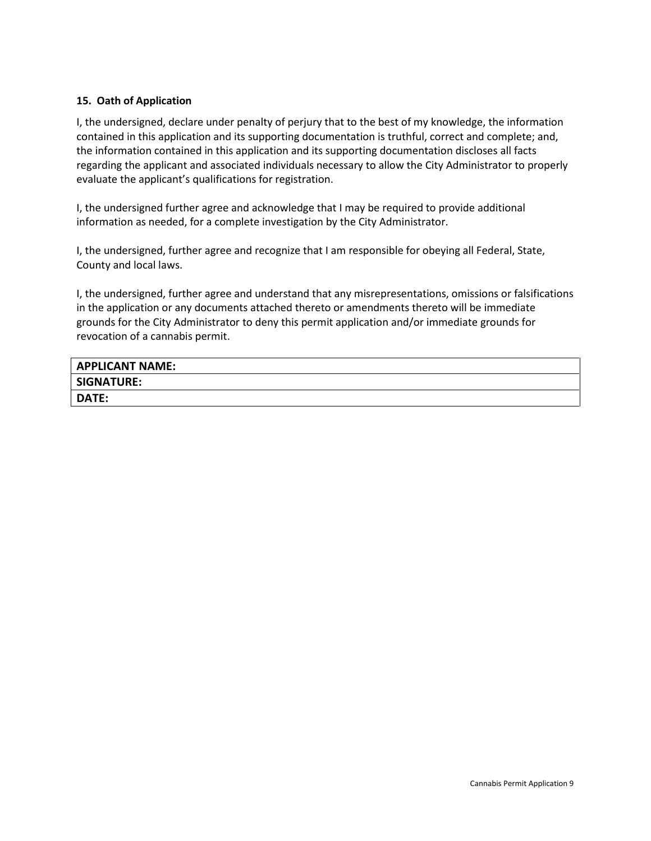## **15. Oath of Application**

I, the undersigned, declare under penalty of perjury that to the best of my knowledge, the information contained in this application and its supporting documentation is truthful, correct and complete; and, the information contained in this application and its supporting documentation discloses all facts regarding the applicant and associated individuals necessary to allow the City Administrator to properly evaluate the applicant's qualifications for registration.

I, the undersigned further agree and acknowledge that I may be required to provide additional information as needed, for a complete investigation by the City Administrator.

I, the undersigned, further agree and recognize that I am responsible for obeying all Federal, State, County and local laws.

I, the undersigned, further agree and understand that any misrepresentations, omissions or falsifications in the application or any documents attached thereto or amendments thereto will be immediate grounds for the City Administrator to deny this permit application and/or immediate grounds for revocation of a cannabis permit.

| <b>APPLICANT NAME:</b> |  |
|------------------------|--|
| <b>SIGNATURE:</b>      |  |
| DATE:                  |  |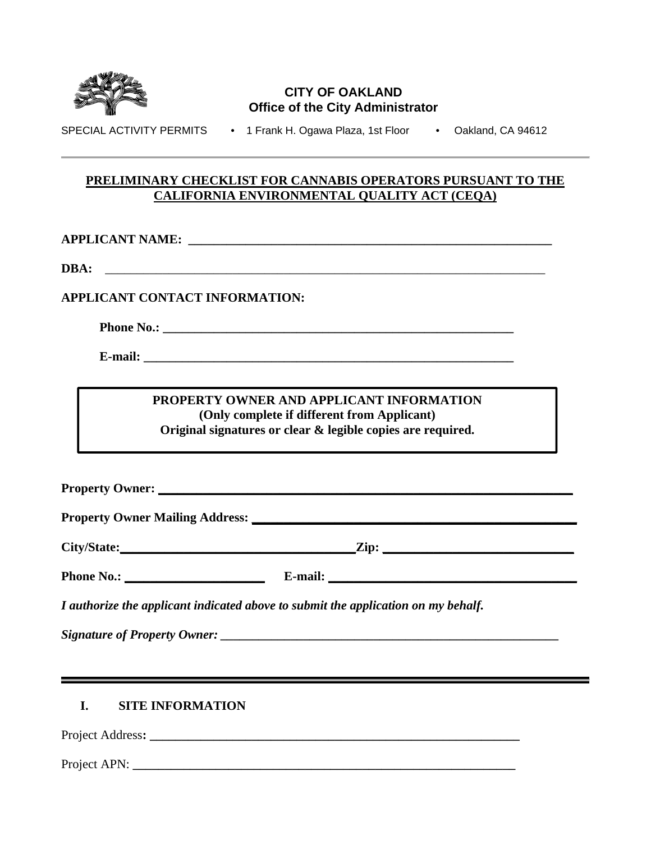

# **CITY OF OAKLAND Office of the City Administrator**

SPECIAL ACTIVITY PERMITS • 1 Frank H. Ogawa Plaza, 1st Floor • Oakland, CA 94612

## **PRELIMINARY CHECKLIST FOR CANNABIS OPERATORS PURSUANT TO THE CALIFORNIA ENVIRONMENTAL QUALITY ACT (CEQA)**

**APPLICANT NAME: \_\_\_\_\_\_\_\_\_\_\_\_\_\_\_\_\_\_\_\_\_\_\_\_\_\_\_\_\_\_\_\_\_\_\_\_\_\_\_\_\_\_\_\_\_\_\_\_\_\_\_\_\_\_\_\_\_** 

**DBA:** \_\_\_\_\_\_\_\_\_\_\_\_\_\_\_\_\_\_\_\_\_\_\_\_\_\_\_\_\_\_\_\_\_\_\_\_\_\_\_\_\_\_\_\_\_\_\_\_\_\_\_\_\_\_\_\_\_\_\_\_\_\_\_\_\_\_\_\_\_

# **APPLICANT CONTACT INFORMATION:**

**Phone No.:**  $\blacksquare$ 

 **E-mail: \_\_\_\_\_\_\_\_\_\_\_\_\_\_\_\_\_\_\_\_\_\_\_\_\_\_\_\_\_\_\_\_\_\_\_\_\_\_\_\_\_\_\_\_\_\_\_\_\_\_\_\_\_\_\_\_\_\_** 

## **PROPERTY OWNER AND APPLICANT INFORMATION (Only complete if different from Applicant) Original signatures or clear & legible copies are required.**

**Property Owner: \_\_\_\_\_\_\_\_\_\_\_\_\_\_\_\_\_\_\_\_\_\_\_\_\_\_\_\_\_\_\_\_\_\_\_\_\_\_\_\_\_\_\_\_\_\_\_\_\_\_\_\_\_\_\_\_\_\_\_\_\_\_\_\_\_** 

**Property Owner Mailing Address: \_\_\_\_\_\_\_\_\_\_\_\_\_\_\_\_\_\_\_\_\_\_\_\_\_\_\_\_\_\_\_\_\_\_\_\_\_\_\_\_\_\_\_\_\_\_\_\_\_\_\_** 

| City/State:<br>$\sim$ | --<br>$\angle$ ip: |
|-----------------------|--------------------|
|                       |                    |

**Phone No.: \_\_\_\_\_\_\_\_\_\_\_\_\_\_\_\_\_\_\_\_\_\_ E-mail: \_\_\_\_\_\_\_\_\_\_\_\_\_\_\_\_\_\_\_\_\_\_\_\_\_\_\_\_\_\_\_\_\_\_\_\_\_\_\_** 

*I authorize the applicant indicated above to submit the application on my behalf.* 

*Signature of Property Owner: \_\_\_\_\_\_\_\_\_\_\_\_\_\_\_\_\_\_\_\_\_\_\_\_\_\_\_\_\_\_\_\_\_\_\_\_\_\_\_\_\_\_\_\_\_\_\_\_\_\_\_\_\_*

# **I. SITE INFORMATION**

Project Address**: \_\_\_\_\_\_\_\_\_\_\_\_\_\_\_\_\_\_\_\_\_\_\_\_\_\_\_\_\_\_\_\_\_\_\_\_\_\_\_\_\_\_\_\_\_\_\_\_\_\_\_\_\_\_\_\_\_\_** 

Project APN: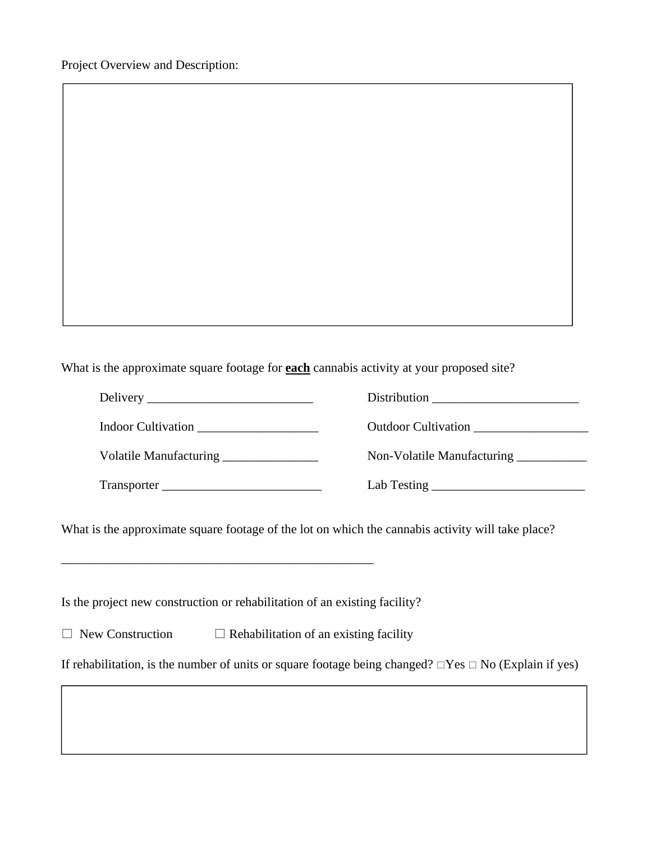Project Overview and Description:

What is the approximate square footage for **each** cannabis activity at your proposed site?

|                                       | Distribution                           |
|---------------------------------------|----------------------------------------|
| Indoor Cultivation                    | Outdoor Cultivation                    |
| Volatile Manufacturing ______________ | Non-Volatile Manufacturing ___________ |
|                                       |                                        |

What is the approximate square footage of the lot on which the cannabis activity will take place?

Is the project new construction or rehabilitation of an existing facility?

\_\_\_\_\_\_\_\_\_\_\_\_\_\_\_\_\_\_\_\_\_\_\_\_\_\_\_\_\_\_\_\_\_\_\_\_\_\_\_\_\_\_\_\_\_\_\_\_\_

 $\Box$  New Construction  $\Box$  Rehabilitation of an existing facility

If rehabilitation, is the number of units or square footage being changed?  $\Box$  Yes  $\Box$  No (Explain if yes)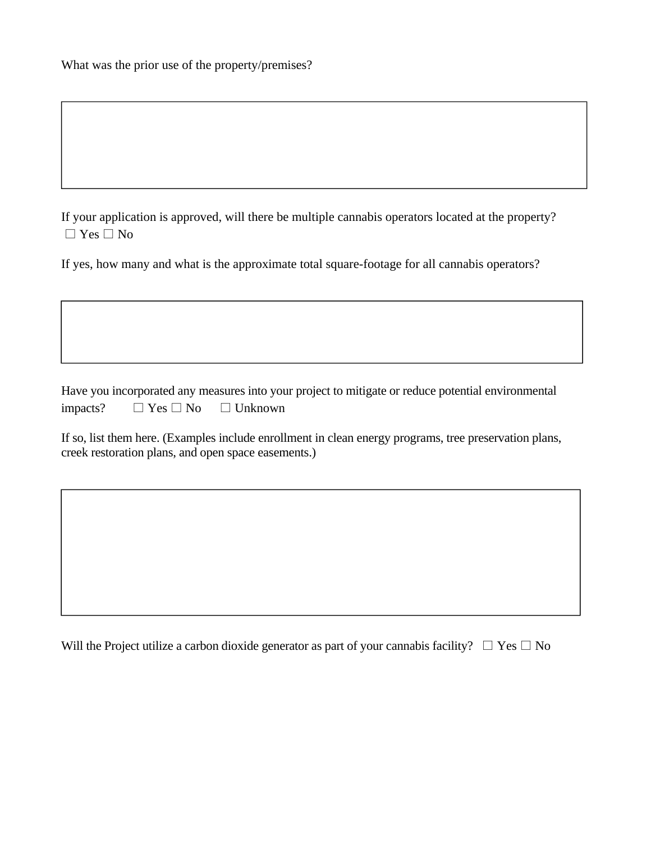|  |  |  | What was the prior use of the property/premises? |
|--|--|--|--------------------------------------------------|
|--|--|--|--------------------------------------------------|

If your application is approved, will there be multiple cannabis operators located at the property?  $\Box$  Yes  $\Box$  No

If yes, how many and what is the approximate total square-footage for all cannabis operators?

Have you incorporated any measures into your project to mitigate or reduce potential environmental impacts?  $\Box$  Yes  $\Box$  No  $\Box$  Unknown

If so, list them here. (Examples include enrollment in clean energy programs, tree preservation plans, creek restoration plans, and open space easements.)

Will the Project utilize a carbon dioxide generator as part of your cannabis facility?  $\Box$  Yes  $\Box$  No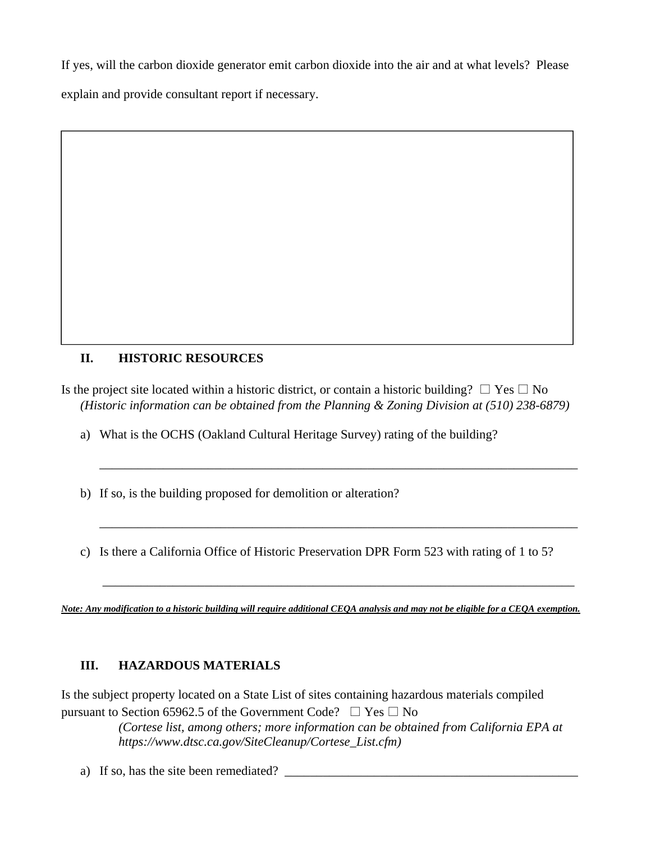If yes, will the carbon dioxide generator emit carbon dioxide into the air and at what levels? Please explain and provide consultant report if necessary.

# **II. HISTORIC RESOURCES**

Is the project site located within a historic district, or contain a historic building?  $\Box$  Yes  $\Box$  No *(Historic information can be obtained from the Planning & Zoning Division at (510) 238-6879)* 

\_\_\_\_\_\_\_\_\_\_\_\_\_\_\_\_\_\_\_\_\_\_\_\_\_\_\_\_\_\_\_\_\_\_\_\_\_\_\_\_\_\_\_\_\_\_\_\_\_\_\_\_\_\_\_\_\_\_\_\_\_\_\_\_\_\_\_\_\_\_\_\_\_\_\_

a) What is the OCHS (Oakland Cultural Heritage Survey) rating of the building?

b) If so, is the building proposed for demolition or alteration?

c) Is there a California Office of Historic Preservation DPR Form 523 with rating of 1 to 5?

\_\_\_\_\_\_\_\_\_\_\_\_\_\_\_\_\_\_\_\_\_\_\_\_\_\_\_\_\_\_\_\_\_\_\_\_\_\_\_\_\_\_\_\_\_\_\_\_\_\_\_\_\_\_\_\_\_\_\_\_\_\_\_\_\_\_\_\_\_\_\_\_\_\_\_

*Note: Any modification to a historic building will require additional CEQA analysis and may not be eligible for a CEQA exemption.* 

\_\_\_\_\_\_\_\_\_\_\_\_\_\_\_\_\_\_\_\_\_\_\_\_\_\_\_\_\_\_\_\_\_\_\_\_\_\_\_\_\_\_\_\_\_\_\_\_\_\_\_\_\_\_\_\_\_\_\_\_\_\_\_\_\_\_\_\_\_\_\_\_\_\_

# **III. HAZARDOUS MATERIALS**

Is the subject property located on a State List of sites containing hazardous materials compiled pursuant to Section 65962.5 of the Government Code?  $\Box$  Yes  $\Box$  No

> *(Cortese list, among others; more information can be obtained from California EPA at https://www.dtsc.ca.gov/SiteCleanup/Cortese\_List.cfm)*

a) If so, has the site been remediated?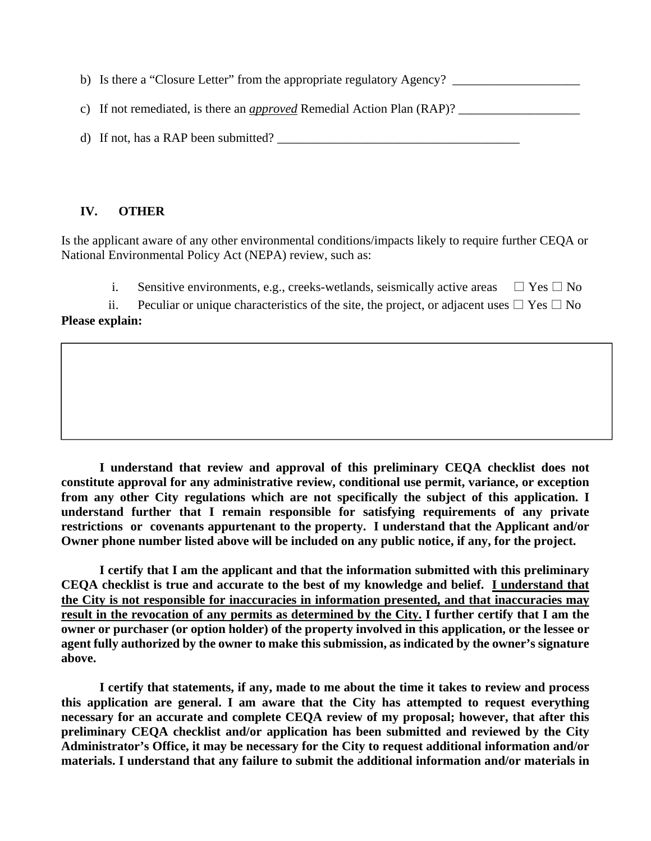b) Is there a "Closure Letter" from the appropriate regulatory Agency? \_\_\_\_\_\_\_\_\_\_\_\_\_\_\_\_\_\_\_\_

c) If not remediated, is there an *approved* Remedial Action Plan (RAP)? \_\_\_\_\_\_\_\_\_\_\_\_\_\_\_\_\_\_\_

d) If not, has a RAP been submitted? \_\_\_\_\_\_\_\_\_\_\_\_\_\_\_\_\_\_\_\_\_\_\_\_\_\_\_\_\_\_\_\_\_\_\_\_\_\_

## **IV. OTHER**

Is the applicant aware of any other environmental conditions/impacts likely to require further CEQA or National Environmental Policy Act (NEPA) review, such as:

i. Sensitive environments, e.g., creeks-wetlands, seismically active areas  $\Box$  Yes  $\Box$  No

ii. Peculiar or unique characteristics of the site, the project, or adjacent uses  $\Box$  Yes  $\Box$  No **Please explain:** 

**I understand that review and approval of this preliminary CEQA checklist does not constitute approval for any administrative review, conditional use permit, variance, or exception from any other City regulations which are not specifically the subject of this application. I understand further that I remain responsible for satisfying requirements of any private restrictions or covenants appurtenant to the property. I understand that the Applicant and/or Owner phone number listed above will be included on any public notice, if any, for the project.** 

**I certify that I am the applicant and that the information submitted with this preliminary CEQA checklist is true and accurate to the best of my knowledge and belief. I understand that the City is not responsible for inaccuracies in information presented, and that inaccuracies may result in the revocation of any permits as determined by the City. I further certify that I am the owner or purchaser (or option holder) of the property involved in this application, or the lessee or agent fully authorized by the owner to make this submission, as indicated by the owner's signature above.** 

**I certify that statements, if any, made to me about the time it takes to review and process this application are general. I am aware that the City has attempted to request everything necessary for an accurate and complete CEQA review of my proposal; however, that after this preliminary CEQA checklist and/or application has been submitted and reviewed by the City Administrator's Office, it may be necessary for the City to request additional information and/or materials. I understand that any failure to submit the additional information and/or materials in**